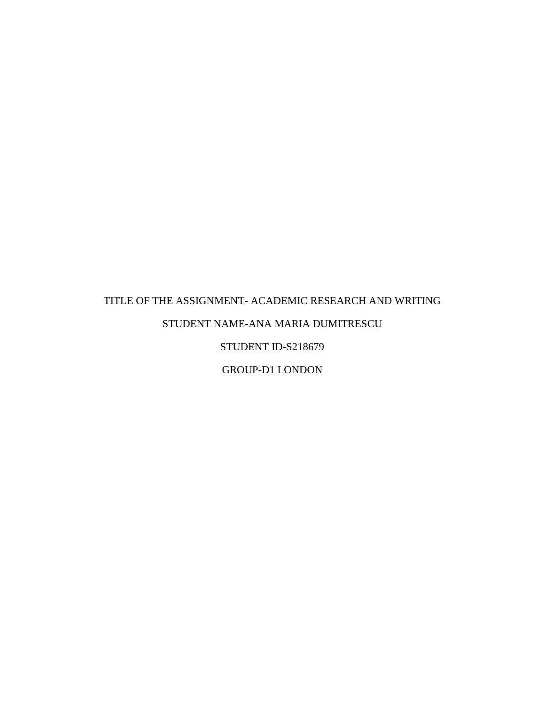# TITLE OF THE ASSIGNMENT- ACADEMIC RESEARCH AND WRITING STUDENT NAME-ANA MARIA DUMITRESCU STUDENT ID-S218679

GROUP-D1 LONDON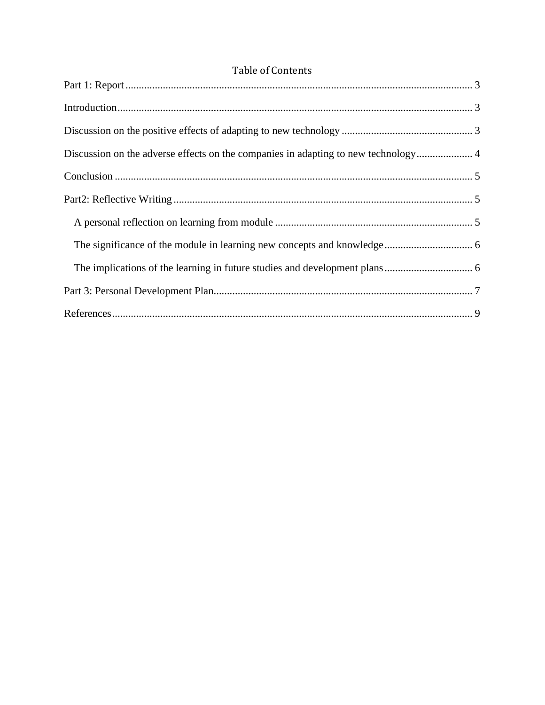# Table of Contents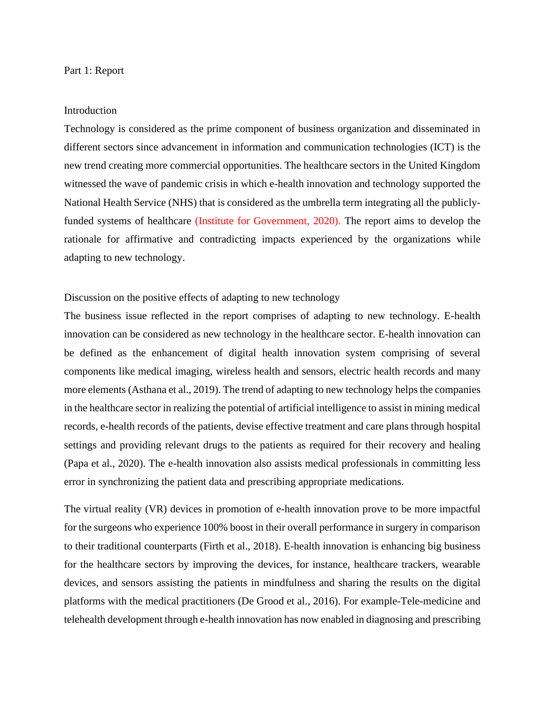#### <span id="page-2-1"></span><span id="page-2-0"></span>Part 1: Report

#### Introduction

Technology is considered as the prime component of business organization and disseminated in different sectors since advancement in information and communication technologies (ICT) is the new trend creating more commercial opportunities. The healthcare sectors in the United Kingdom witnessed the wave of pandemic crisis in which e-health innovation and technology supported the National Health Service (NHS) that is considered as the umbrella term integrating all the publiclyfunded systems of healthcare (Institute for Government, 2020). The report aims to develop the rationale for affirmative and contradicting impacts experienced by the organizations while adapting to new technology.

#### <span id="page-2-2"></span>Discussion on the positive effects of adapting to new technology

The business issue reflected in the report comprises of adapting to new technology. E-health innovation can be considered as new technology in the healthcare sector. E-health innovation can be defined as the enhancement of digital health innovation system comprising of several components like medical imaging, wireless health and sensors, electric health records and many more elements (Asthana et al., 2019). The trend of adapting to new technology helps the companies in the healthcare sector in realizing the potential of artificial intelligence to assist in mining medical records, e-health records of the patients, devise effective treatment and care plans through hospital settings and providing relevant drugs to the patients as required for their recovery and healing (Papa et al., 2020). The e-health innovation also assists medical professionals in committing less error in synchronizing the patient data and prescribing appropriate medications.

The virtual reality (VR) devices in promotion of e-health innovation prove to be more impactful for the surgeons who experience 100% boost in their overall performance in surgery in comparison to their traditional counterparts (Firth et al., 2018). E-health innovation is enhancing big business for the healthcare sectors by improving the devices, for instance, healthcare trackers, wearable devices, and sensors assisting the patients in mindfulness and sharing the results on the digital platforms with the medical practitioners (De Grood et al., 2016). For example-Tele-medicine and telehealth development through e-health innovation has now enabled in diagnosing and prescribing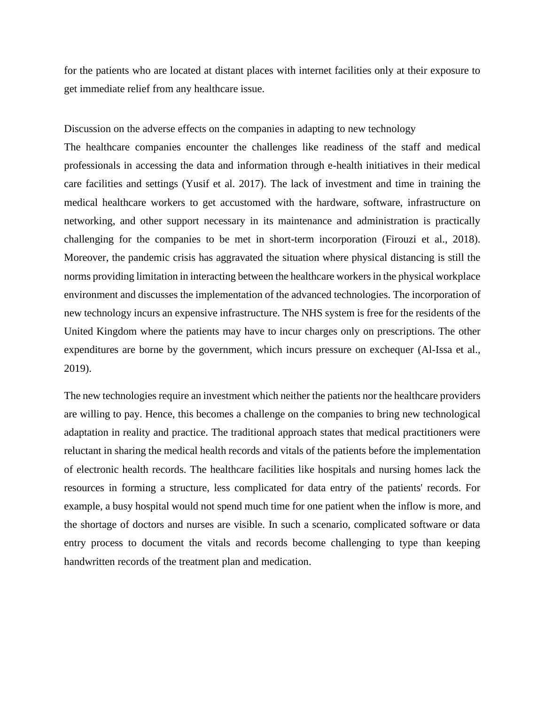for the patients who are located at distant places with internet facilities only at their exposure to get immediate relief from any healthcare issue.

## <span id="page-3-0"></span>Discussion on the adverse effects on the companies in adapting to new technology

The healthcare companies encounter the challenges like readiness of the staff and medical professionals in accessing the data and information through e-health initiatives in their medical care facilities and settings (Yusif et al. 2017). The lack of investment and time in training the medical healthcare workers to get accustomed with the hardware, software, infrastructure on networking, and other support necessary in its maintenance and administration is practically challenging for the companies to be met in short-term incorporation (Firouzi et al., 2018). Moreover, the pandemic crisis has aggravated the situation where physical distancing is still the norms providing limitation in interacting between the healthcare workers in the physical workplace environment and discusses the implementation of the advanced technologies. The incorporation of new technology incurs an expensive infrastructure. The NHS system is free for the residents of the United Kingdom where the patients may have to incur charges only on prescriptions. The other expenditures are borne by the government, which incurs pressure on exchequer (Al-Issa et al., 2019).

The new technologies require an investment which neither the patients nor the healthcare providers are willing to pay. Hence, this becomes a challenge on the companies to bring new technological adaptation in reality and practice. The traditional approach states that medical practitioners were reluctant in sharing the medical health records and vitals of the patients before the implementation of electronic health records. The healthcare facilities like hospitals and nursing homes lack the resources in forming a structure, less complicated for data entry of the patients' records. For example, a busy hospital would not spend much time for one patient when the inflow is more, and the shortage of doctors and nurses are visible. In such a scenario, complicated software or data entry process to document the vitals and records become challenging to type than keeping handwritten records of the treatment plan and medication.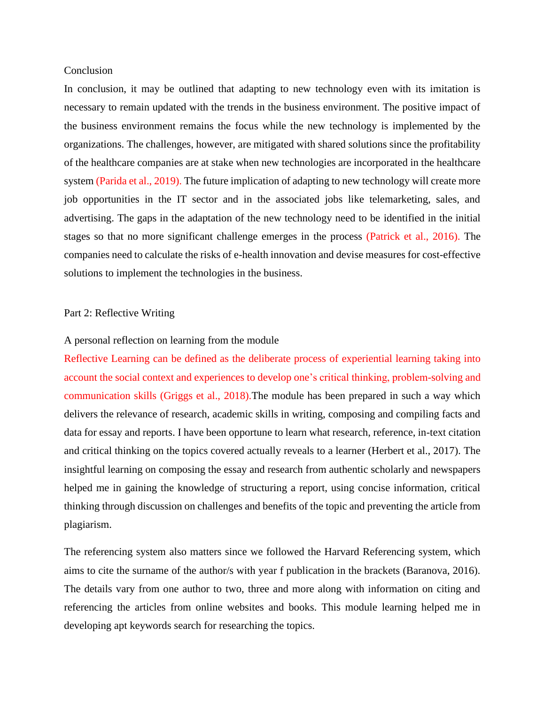### <span id="page-4-0"></span>Conclusion

In conclusion, it may be outlined that adapting to new technology even with its imitation is necessary to remain updated with the trends in the business environment. The positive impact of the business environment remains the focus while the new technology is implemented by the organizations. The challenges, however, are mitigated with shared solutions since the profitability of the healthcare companies are at stake when new technologies are incorporated in the healthcare system (Parida et al., 2019). The future implication of adapting to new technology will create more job opportunities in the IT sector and in the associated jobs like telemarketing, sales, and advertising. The gaps in the adaptation of the new technology need to be identified in the initial stages so that no more significant challenge emerges in the process (Patrick et al., 2016). The companies need to calculate the risks of e-health innovation and devise measures for cost-effective solutions to implement the technologies in the business.

## <span id="page-4-1"></span>Part 2: Reflective Writing

#### <span id="page-4-2"></span>A personal reflection on learning from the module

Reflective Learning can be defined as the deliberate process of experiential learning taking into account the social context and experiences to develop one's critical thinking, problem-solving and communication skills (Griggs et al., 2018).The module has been prepared in such a way which delivers the relevance of research, academic skills in writing, composing and compiling facts and data for essay and reports. I have been opportune to learn what research, reference, in-text citation and critical thinking on the topics covered actually reveals to a learner (Herbert et al., 2017). The insightful learning on composing the essay and research from authentic scholarly and newspapers helped me in gaining the knowledge of structuring a report, using concise information, critical thinking through discussion on challenges and benefits of the topic and preventing the article from plagiarism.

The referencing system also matters since we followed the Harvard Referencing system, which aims to cite the surname of the author/s with year f publication in the brackets (Baranova, 2016). The details vary from one author to two, three and more along with information on citing and referencing the articles from online websites and books. This module learning helped me in developing apt keywords search for researching the topics.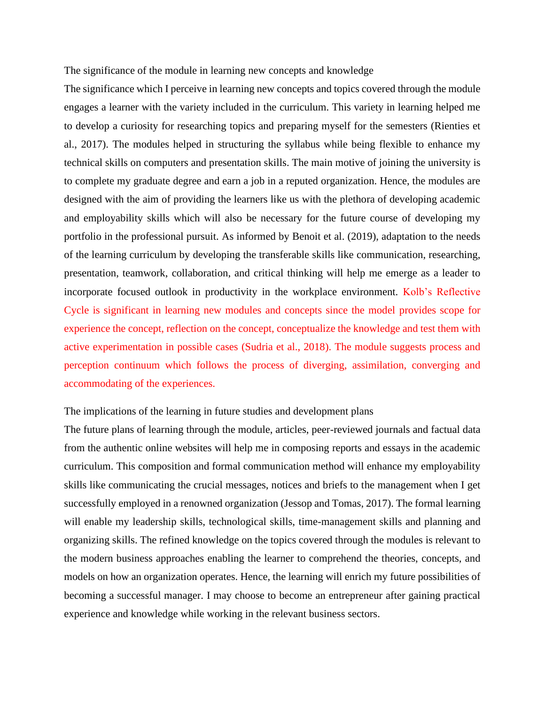<span id="page-5-0"></span>The significance of the module in learning new concepts and knowledge

The significance which I perceive in learning new concepts and topics covered through the module engages a learner with the variety included in the curriculum. This variety in learning helped me to develop a curiosity for researching topics and preparing myself for the semesters (Rienties et al., 2017). The modules helped in structuring the syllabus while being flexible to enhance my technical skills on computers and presentation skills. The main motive of joining the university is to complete my graduate degree and earn a job in a reputed organization. Hence, the modules are designed with the aim of providing the learners like us with the plethora of developing academic and employability skills which will also be necessary for the future course of developing my portfolio in the professional pursuit. As informed by Benoit et al. (2019), adaptation to the needs of the learning curriculum by developing the transferable skills like communication, researching, presentation, teamwork, collaboration, and critical thinking will help me emerge as a leader to incorporate focused outlook in productivity in the workplace environment. Kolb's Reflective Cycle is significant in learning new modules and concepts since the model provides scope for experience the concept, reflection on the concept, conceptualize the knowledge and test them with active experimentation in possible cases (Sudria et al., 2018). The module suggests process and perception continuum which follows the process of diverging, assimilation, converging and accommodating of the experiences.

### <span id="page-5-1"></span>The implications of the learning in future studies and development plans

The future plans of learning through the module, articles, peer-reviewed journals and factual data from the authentic online websites will help me in composing reports and essays in the academic curriculum. This composition and formal communication method will enhance my employability skills like communicating the crucial messages, notices and briefs to the management when I get successfully employed in a renowned organization (Jessop and Tomas, 2017). The formal learning will enable my leadership skills, technological skills, time-management skills and planning and organizing skills. The refined knowledge on the topics covered through the modules is relevant to the modern business approaches enabling the learner to comprehend the theories, concepts, and models on how an organization operates. Hence, the learning will enrich my future possibilities of becoming a successful manager. I may choose to become an entrepreneur after gaining practical experience and knowledge while working in the relevant business sectors.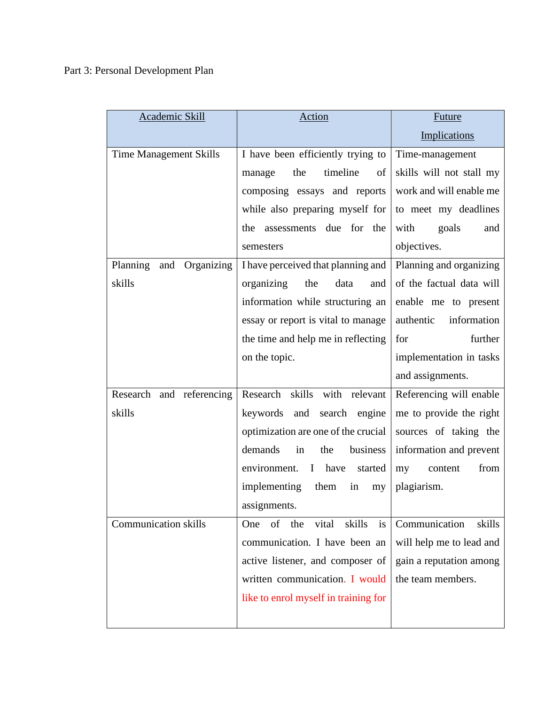# <span id="page-6-0"></span>Part 3: Personal Development Plan

| Academic Skill                | Action                                    | <b>Future</b>            |  |
|-------------------------------|-------------------------------------------|--------------------------|--|
|                               |                                           | Implications             |  |
| <b>Time Management Skills</b> | I have been efficiently trying to         | Time-management          |  |
|                               | timeline<br>the<br>of<br>manage           | skills will not stall my |  |
|                               | composing essays and reports              | work and will enable me  |  |
|                               | while also preparing myself for           | to meet my deadlines     |  |
|                               | assessments due for the<br>the            | with<br>goals<br>and     |  |
|                               | semesters                                 | objectives.              |  |
| and Organizing<br>Planning    | I have perceived that planning and        | Planning and organizing  |  |
| skills                        | organizing<br>the<br>data<br>and          | of the factual data will |  |
|                               | information while structuring an          | enable me to present     |  |
|                               | essay or report is vital to manage        | authentic<br>information |  |
|                               | the time and help me in reflecting        | further<br>for           |  |
|                               | on the topic.                             | implementation in tasks  |  |
|                               |                                           | and assignments.         |  |
| Research and referencing      | Research skills with relevant             | Referencing will enable  |  |
| skills                        | keywords and search engine                | me to provide the right  |  |
|                               | optimization are one of the crucial       | sources of taking the    |  |
|                               | demands<br>business<br>in<br>the          | information and prevent  |  |
|                               | have<br>environment. I<br>started         | from<br>my<br>content    |  |
|                               | implementing<br>them<br>in<br>my          | plagiarism.              |  |
|                               | assignments.                              |                          |  |
| <b>Communication skills</b>   | is<br>of<br>the<br>vital<br>skills<br>One | Communication<br>skills  |  |
|                               | communication. I have been an             | will help me to lead and |  |
|                               | active listener, and composer of          | gain a reputation among  |  |
|                               | written communication. I would            | the team members.        |  |
|                               | like to enrol myself in training for      |                          |  |
|                               |                                           |                          |  |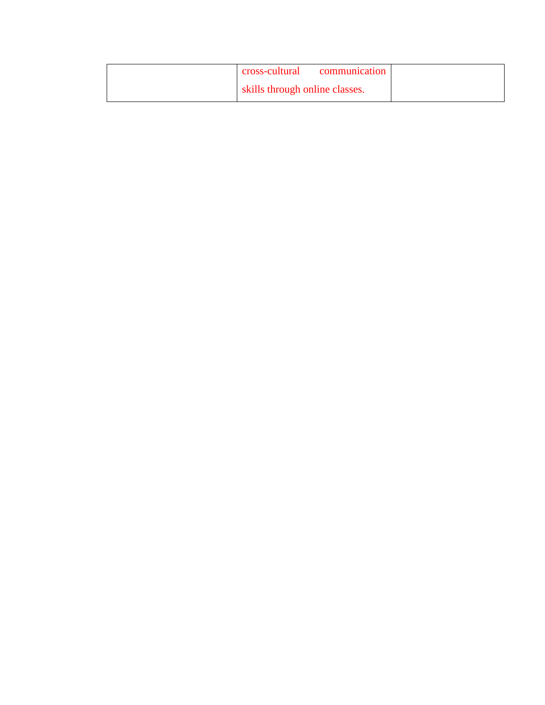| cross-cultural                 | communication I |  |
|--------------------------------|-----------------|--|
| skills through online classes. |                 |  |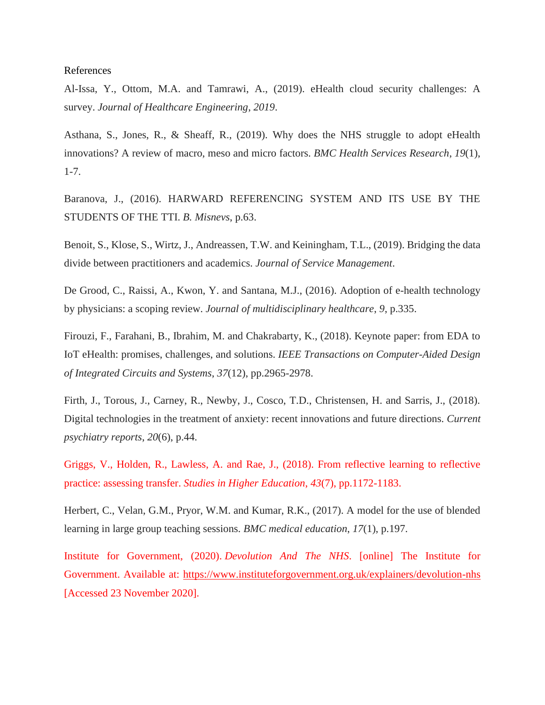<span id="page-8-0"></span>References

Al-Issa, Y., Ottom, M.A. and Tamrawi, A., (2019). eHealth cloud security challenges: A survey. *Journal of Healthcare Engineering*, *2019*.

Asthana, S., Jones, R., & Sheaff, R., (2019). Why does the NHS struggle to adopt eHealth innovations? A review of macro, meso and micro factors. *BMC Health Services Research*, *19*(1), 1-7.

Baranova, J., (2016). HARWARD REFERENCING SYSTEM AND ITS USE BY THE STUDENTS OF THE TTI. *B. Misnevs*, p.63.

Benoit, S., Klose, S., Wirtz, J., Andreassen, T.W. and Keiningham, T.L., (2019). Bridging the data divide between practitioners and academics. *Journal of Service Management*.

De Grood, C., Raissi, A., Kwon, Y. and Santana, M.J., (2016). Adoption of e-health technology by physicians: a scoping review. *Journal of multidisciplinary healthcare*, *9*, p.335.

Firouzi, F., Farahani, B., Ibrahim, M. and Chakrabarty, K., (2018). Keynote paper: from EDA to IoT eHealth: promises, challenges, and solutions. *IEEE Transactions on Computer-Aided Design of Integrated Circuits and Systems*, *37*(12), pp.2965-2978.

Firth, J., Torous, J., Carney, R., Newby, J., Cosco, T.D., Christensen, H. and Sarris, J., (2018). Digital technologies in the treatment of anxiety: recent innovations and future directions. *Current psychiatry reports*, *20*(6), p.44.

Griggs, V., Holden, R., Lawless, A. and Rae, J., (2018). From reflective learning to reflective practice: assessing transfer. *Studies in Higher Education*, *43*(7), pp.1172-1183.

Herbert, C., Velan, G.M., Pryor, W.M. and Kumar, R.K., (2017). A model for the use of blended learning in large group teaching sessions. *BMC medical education*, *17*(1), p.197.

Institute for Government, (2020). *Devolution And The NHS*. [online] The Institute for Government. Available at:<https://www.instituteforgovernment.org.uk/explainers/devolution-nhs> [Accessed 23 November 2020].